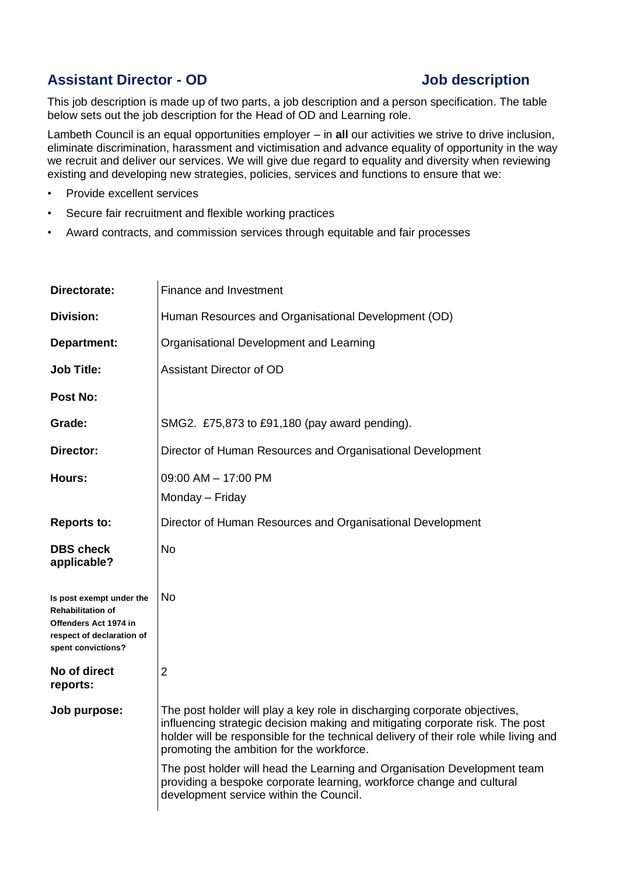## **Assistant Director - OD Job description**

This job description is made up of two parts, a job description and a person specification. The table below sets out the job description for the Head of OD and Learning role.

Lambeth Council is an equal opportunities employer – in **all** our activities we strive to drive inclusion, eliminate discrimination, harassment and victimisation and advance equality of opportunity in the way we recruit and deliver our services. We will give due regard to equality and diversity when reviewing existing and developing new strategies, policies, services and functions to ensure that we:

- Provide excellent services
- Secure fair recruitment and flexible working practices
- Award contracts, and commission services through equitable and fair processes

| Directorate:                                                                                                                     | Finance and Investment                                                                                                                                                                                                                                                                                                                                                                                                                                                                          |
|----------------------------------------------------------------------------------------------------------------------------------|-------------------------------------------------------------------------------------------------------------------------------------------------------------------------------------------------------------------------------------------------------------------------------------------------------------------------------------------------------------------------------------------------------------------------------------------------------------------------------------------------|
| <b>Division:</b>                                                                                                                 | Human Resources and Organisational Development (OD)                                                                                                                                                                                                                                                                                                                                                                                                                                             |
| Department:                                                                                                                      | Organisational Development and Learning                                                                                                                                                                                                                                                                                                                                                                                                                                                         |
| <b>Job Title:</b>                                                                                                                | <b>Assistant Director of OD</b>                                                                                                                                                                                                                                                                                                                                                                                                                                                                 |
| <b>Post No:</b>                                                                                                                  |                                                                                                                                                                                                                                                                                                                                                                                                                                                                                                 |
| Grade:                                                                                                                           | SMG2. £75,873 to £91,180 (pay award pending).                                                                                                                                                                                                                                                                                                                                                                                                                                                   |
| Director:                                                                                                                        | Director of Human Resources and Organisational Development                                                                                                                                                                                                                                                                                                                                                                                                                                      |
| Hours:                                                                                                                           | 09:00 AM - 17:00 PM<br>Monday - Friday                                                                                                                                                                                                                                                                                                                                                                                                                                                          |
| <b>Reports to:</b>                                                                                                               | Director of Human Resources and Organisational Development                                                                                                                                                                                                                                                                                                                                                                                                                                      |
| <b>DBS check</b><br>applicable?                                                                                                  | No.                                                                                                                                                                                                                                                                                                                                                                                                                                                                                             |
| Is post exempt under the<br><b>Rehabilitation of</b><br>Offenders Act 1974 in<br>respect of declaration of<br>spent convictions? | No.                                                                                                                                                                                                                                                                                                                                                                                                                                                                                             |
| No of direct<br>reports:                                                                                                         | $\overline{2}$                                                                                                                                                                                                                                                                                                                                                                                                                                                                                  |
| Job purpose:                                                                                                                     | The post holder will play a key role in discharging corporate objectives,<br>influencing strategic decision making and mitigating corporate risk. The post<br>holder will be responsible for the technical delivery of their role while living and<br>promoting the ambition for the workforce.<br>The post holder will head the Learning and Organisation Development team<br>providing a bespoke corporate learning, workforce change and cultural<br>development service within the Council. |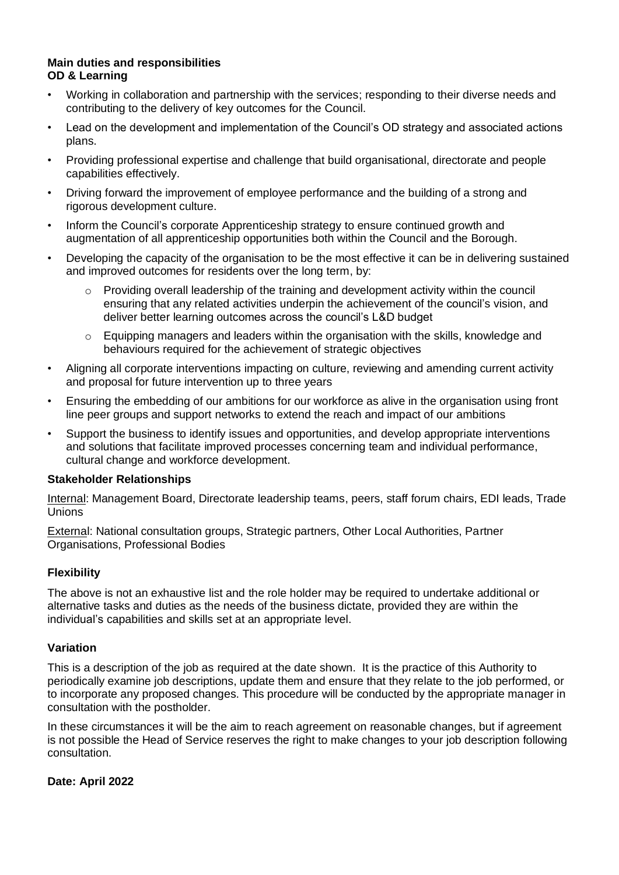#### **Main duties and responsibilities OD & Learning**

- Working in collaboration and partnership with the services; responding to their diverse needs and contributing to the delivery of key outcomes for the Council.
- Lead on the development and implementation of the Council's OD strategy and associated actions plans.
- Providing professional expertise and challenge that build organisational, directorate and people capabilities effectively.
- Driving forward the improvement of employee performance and the building of a strong and rigorous development culture.
- Inform the Council's corporate Apprenticeship strategy to ensure continued growth and augmentation of all apprenticeship opportunities both within the Council and the Borough.
- Developing the capacity of the organisation to be the most effective it can be in delivering sustained and improved outcomes for residents over the long term, by:
	- $\circ$  Providing overall leadership of the training and development activity within the council ensuring that any related activities underpin the achievement of the council's vision, and deliver better learning outcomes across the council's L&D budget
	- $\circ$  Equipping managers and leaders within the organisation with the skills, knowledge and behaviours required for the achievement of strategic objectives
- Aligning all corporate interventions impacting on culture, reviewing and amending current activity and proposal for future intervention up to three years
- Ensuring the embedding of our ambitions for our workforce as alive in the organisation using front line peer groups and support networks to extend the reach and impact of our ambitions
- Support the business to identify issues and opportunities, and develop appropriate interventions and solutions that facilitate improved processes concerning team and individual performance, cultural change and workforce development.

#### **Stakeholder Relationships**

Internal: Management Board, Directorate leadership teams, peers, staff forum chairs, EDI leads, Trade Unions

External: National consultation groups, Strategic partners, Other Local Authorities, Partner Organisations, Professional Bodies

### **Flexibility**

The above is not an exhaustive list and the role holder may be required to undertake additional or alternative tasks and duties as the needs of the business dictate, provided they are within the individual's capabilities and skills set at an appropriate level.

### **Variation**

This is a description of the job as required at the date shown. It is the practice of this Authority to periodically examine job descriptions, update them and ensure that they relate to the job performed, or to incorporate any proposed changes. This procedure will be conducted by the appropriate manager in consultation with the postholder.

In these circumstances it will be the aim to reach agreement on reasonable changes, but if agreement is not possible the Head of Service reserves the right to make changes to your job description following consultation.

#### **Date: April 2022**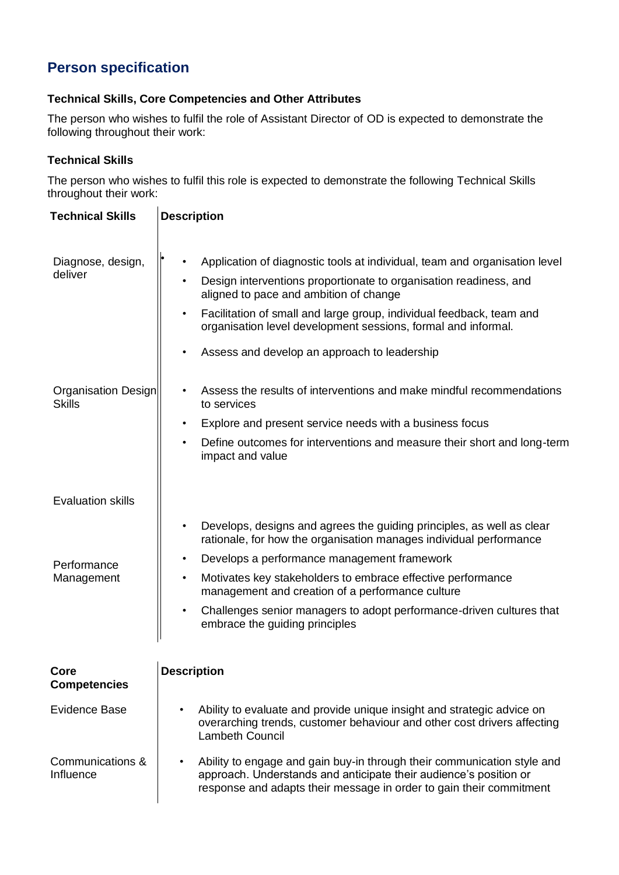# **Person specification**

### **Technical Skills, Core Competencies and Other Attributes**

The person who wishes to fulfil the role of Assistant Director of OD is expected to demonstrate the following throughout their work:

#### **Technical Skills**

The person who wishes to fulfil this role is expected to demonstrate the following Technical Skills throughout their work:

| <b>Technical Skills</b>                               | <b>Description</b>                                                                                                                                                                                                                                                                                                                                                                              |
|-------------------------------------------------------|-------------------------------------------------------------------------------------------------------------------------------------------------------------------------------------------------------------------------------------------------------------------------------------------------------------------------------------------------------------------------------------------------|
| Diagnose, design,<br>deliver                          | Application of diagnostic tools at individual, team and organisation level<br>Design interventions proportionate to organisation readiness, and<br>aligned to pace and ambition of change<br>Facilitation of small and large group, individual feedback, team and<br>$\bullet$<br>organisation level development sessions, formal and informal.<br>Assess and develop an approach to leadership |
| <b>Organisation Design</b><br><b>Skills</b>           | Assess the results of interventions and make mindful recommendations<br>to services<br>Explore and present service needs with a business focus<br>Define outcomes for interventions and measure their short and long-term<br>impact and value                                                                                                                                                   |
| <b>Evaluation skills</b><br>Performance<br>Management | Develops, designs and agrees the guiding principles, as well as clear<br>rationale, for how the organisation manages individual performance<br>Develops a performance management framework<br>Motivates key stakeholders to embrace effective performance<br>management and creation of a performance culture                                                                                   |
|                                                       | Challenges senior managers to adopt performance-driven cultures that<br>embrace the guiding principles                                                                                                                                                                                                                                                                                          |
| ∪ore<br><b>Competencies</b>                           | <b>Description</b>                                                                                                                                                                                                                                                                                                                                                                              |
| <b>Evidence Base</b>                                  | Ability to evaluate and provide unique insight and strategic advice on<br>overarching trends, customer behaviour and other cost drivers affecting<br><b>Lambeth Council</b>                                                                                                                                                                                                                     |
| Communications &<br>Influence                         | Ability to engage and gain buy-in through their communication style and<br>approach. Understands and anticipate their audience's position or<br>response and adapts their message in order to gain their commitment                                                                                                                                                                             |